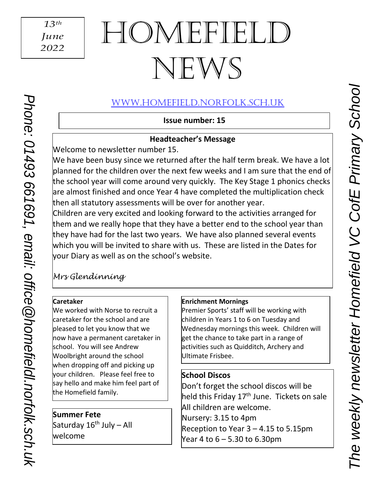# HOMEFIEL NEWS

# [www.Homefield.norfolk.sch.uk](http://www.homefield.norfolk.sch.uk/)

**Issue number: 15**

### **Headteacher's Message**

Welcome to newsletter number 15.

We have been busy since we returned after the half term break. We have a lot planned for the children over the next few weeks and I am sure that the end of the school year will come around very quickly. The Key Stage 1 phonics checks are almost finished and once Year 4 have completed the multiplication check then all statutory assessments will be over for another year.

Children are very excited and looking forward to the activities arranged for them and we really hope that they have a better end to the school year than they have had for the last two years. We have also planned several events which you will be invited to share with us. These are listed in the Dates for your Diary as well as on the school's website.

# *Mrs Glendinning*

#### **Caretaker**

*Phone: 01493 661691, email: [office@h](mailto:office@reydonprimary.org)omefieldl.norfolk.sch.uk*

Phone: 01493 661691, email: office @homefieldl.norfolk.sch.uk

We worked with Norse to recruit a caretaker for the school and are pleased to let you know that we now have a permanent caretaker in school. You will see Andrew Woolbright around the school when dropping off and picking up your children. Please feel free to say hello and make him feel part of the Homefield family.

 **Summer Fete** sammer rece<br>Saturday 16<sup>th</sup> July – All welcome

 $\overline{\phantom{a}}$ 

## **Enrichment Mornings**

Premier Sports' staff will be working with children in Years 1 to 6 on Tuesday and Wednesday mornings this week. Children will get the chance to take part in a range of activities such as Quidditch, Archery and Ultimate Frisbee.

## **School Discos**

 $\overline{\phantom{a}}$ 

Don't forget the school discos will be held this Friday 17<sup>th</sup> June. Tickets on sale All children are welcome. Nursery: 3.15 to 4pm Reception to Year  $3 - 4.15$  to 5.15pm Year 4 to 6 – 5.30 to 6.30pm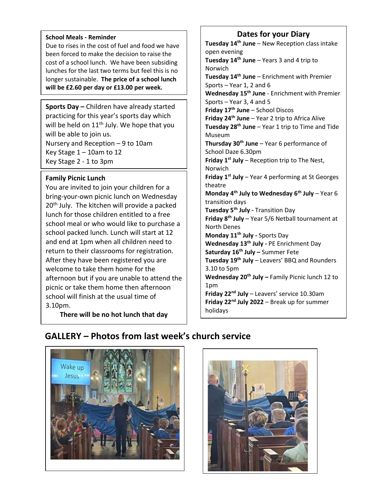#### **School Meals - Reminder**

Due to rises in the cost of fuel and food we have been forced to make the decision to raise the cost of a school lunch. We have been subsiding lunches for the last two terms but feel this is no longer sustainable. **The price of a school lunch will be £2.60 per day or £13.00 per week.** 

**Sports Day –** Children have already started practicing for this year's sports day which will be held on 11<sup>th</sup> July. We hope that you will be able to join us.

Nursery and Reception – 9 to 10am Key Stage 1 – 10am to 12 Key Stage 2 - 1 to 3pm

#### **Family Picnic Lunch**

i<br>I

You are invited to join your children for a bring-your-own picnic lunch on Wednesday 20<sup>th</sup> July. The kitchen will provide a packed lunch for those children entitled to a free school meal or who would like to purchase a school packed lunch. Lunch will start at 12 and end at 1pm when all children need to return to their classrooms for registration. After they have been registered you are welcome to take them home for the afternoon but if you are unable to attend the picnic or take them home then afternoon school will finish at the usual time of 3.10pm.

**There will be no hot lunch that day**

#### **Dates for your Diary**

**Tuesday 14th June** – New Reception class intake open evening **Tuesday 14th June** – Years 3 and 4 trip to Norwich **Tuesday 14th June** – Enrichment with Premier Sports – Year 1, 2 and 6 **Wednesday 15th June** - Enrichment with Premier Sports – Year 3, 4 and 5 **Friday 17th June** – School Discos **Friday 24th June** – Year 2 trip to Africa Alive **Tuesday 28th June** – Year 1 trip to Time and Tide Museum **Thursday 30th June** – Year 6 performance of School Daze 6.30pm **Friday 1st July** – Reception trip to The Nest, Norwich **Friday 1st July** – Year 4 performing at St Georges theatre **Monday 4th July to Wednesday 6th July** – Year 6 transition days **Tuesday 5th July -** Transition Day **Friday 8th July** – Year 5/6 Netball tournament at North Denes **Monday 11th July -** Sports Day **Wednesday 13th July -** PE Enrichment Day **Saturday 16th July –** Summer Fete **Tuesday 19th July** – Leavers' BBQ and Rounders 3.10 to 5pm **Wednesday 20th July –** Family Picnic lunch 12 to 1pm **Friday 22nd July** – Leavers' service 10.30am **Friday 22nd July 2022** – Break up for summer holidays

## **GALLERY – Photos from last week's church service**